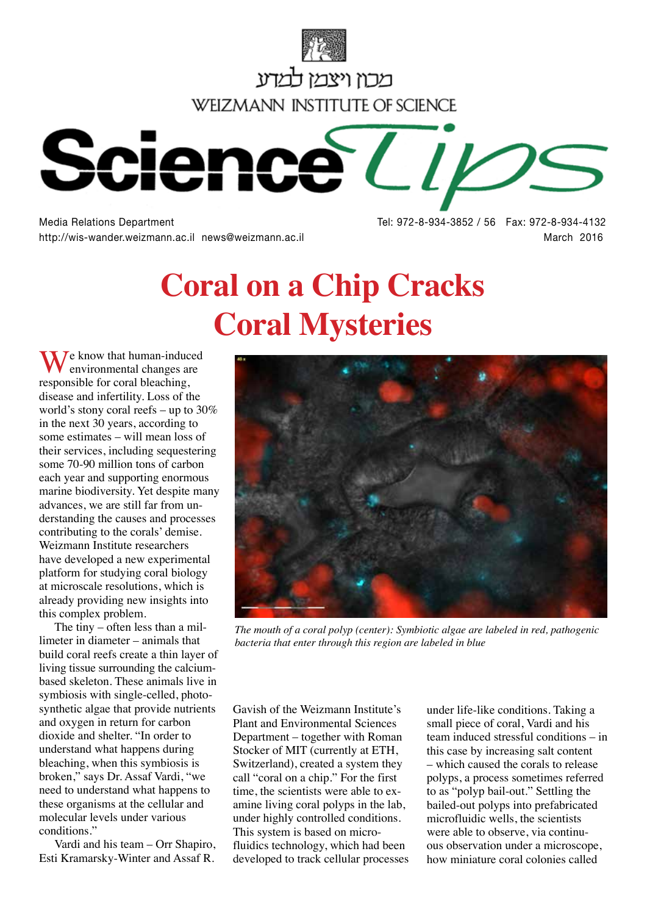

מכוו ויצמו למדע **WEIZMANN INSTITUTE OF SCIENCE** 



http://wis-wander.weizmann.ac.il news@weizmann.ac.il **March 2016** March 2016

Media Relations Department Tel: 972-8-934-3852 / 56 Fax: 972-8-934-4132

## **Coral on a Chip Cracks Coral Mysteries**

 $\mathcal{I}$ e know that human-induced environmental changes are responsible for coral bleaching, disease and infertility. Loss of the world's stony coral reefs – up to 30% in the next 30 years, according to some estimates – will mean loss of their services, including sequestering some 70-90 million tons of carbon each year and supporting enormous marine biodiversity. Yet despite many advances, we are still far from understanding the causes and processes contributing to the corals' demise. Weizmann Institute researchers have developed a new experimental platform for studying coral biology at microscale resolutions, which is already providing new insights into this complex problem.

The tiny – often less than a millimeter in diameter – animals that build coral reefs create a thin layer of living tissue surrounding the calciumbased skeleton. These animals live in symbiosis with single-celled, photosynthetic algae that provide nutrients and oxygen in return for carbon dioxide and shelter. "In order to understand what happens during bleaching, when this symbiosis is broken," says Dr. Assaf Vardi, "we need to understand what happens to these organisms at the cellular and molecular levels under various conditions.'

Vardi and his team – Orr Shapiro, Esti Kramarsky-Winter and Assaf R.



*The mouth of a coral polyp (center): Symbiotic algae are labeled in red, pathogenic bacteria that enter through this region are labeled in blue*

Gavish of the Weizmann Institute's Plant and Environmental Sciences Department – together with Roman Stocker of MIT (currently at ETH, Switzerland), created a system they call "coral on a chip." For the first time, the scientists were able to examine living coral polyps in the lab, under highly controlled conditions. This system is based on microfluidics technology, which had been developed to track cellular processes

under life-like conditions. Taking a small piece of coral, Vardi and his team induced stressful conditions – in this case by increasing salt content – which caused the corals to release polyps, a process sometimes referred to as "polyp bail-out." Settling the bailed-out polyps into prefabricated microfluidic wells, the scientists were able to observe, via continuous observation under a microscope, how miniature coral colonies called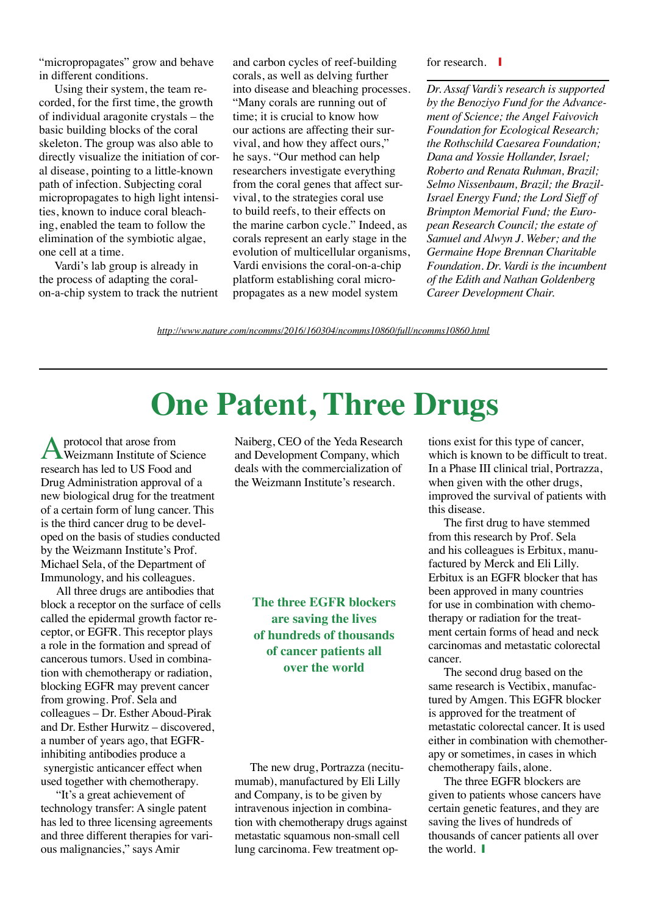"micropropagates" grow and behave in different conditions.

Using their system, the team recorded, for the first time, the growth of individual aragonite crystals – the basic building blocks of the coral skeleton. The group was also able to directly visualize the initiation of coral disease, pointing to a little-known path of infection. Subjecting coral micropropagates to high light intensities, known to induce coral bleaching, enabled the team to follow the elimination of the symbiotic algae, one cell at a time.

Vardi's lab group is already in the process of adapting the coralon-a-chip system to track the nutrient and carbon cycles of reef-building corals, as well as delving further into disease and bleaching processes. "Many corals are running out of time; it is crucial to know how our actions are affecting their survival, and how they affect ours," he says. "Our method can help researchers investigate everything from the coral genes that affect survival, to the strategies coral use to build reefs, to their effects on the marine carbon cycle." Indeed, as corals represent an early stage in the evolution of multicellular organisms, Vardi envisions the coral-on-a-chip platform establishing coral micropropagates as a new model system

for research.  $\blacksquare$ 

*Dr. Assaf Vardi's research is supported by the Benoziyo Fund for the Advancement of Science; the Angel Faivovich Foundation for Ecological Research; the Rothschild Caesarea Foundation; Dana and Yossie Hollander, Israel; Roberto and Renata Ruhman, Brazil; Selmo Nissenbaum, Brazil; the Brazil-Israel Energy Fund; the Lord Sieff of Brimpton Memorial Fund; the European Research Council; the estate of Samuel and Alwyn J. Weber; and the Germaine Hope Brennan Charitable Foundation. Dr. Vardi is the incumbent of the Edith and Nathan Goldenberg Career Development Chair.*

*<http://www.nature.com/ncomms/2016/160304/ncomms10860/full/ncomms10860.html>*

## **One Patent, Three Drugs**

protocol that arose from Weizmann Institute of Science research has led to US Food and Drug Administration approval of a new biological drug for the treatment of a certain form of lung cancer. This is the third cancer drug to be developed on the basis of studies conducted by the Weizmann Institute's Prof. Michael Sela, of the Department of Immunology, and his colleagues.

All three drugs are antibodies that block a receptor on the surface of cells called the epidermal growth factor receptor, or EGFR. This receptor plays a role in the formation and spread of cancerous tumors. Used in combination with chemotherapy or radiation, blocking EGFR may prevent cancer from growing. Prof. Sela and colleagues – Dr. Esther Aboud-Pirak and Dr. Esther Hurwitz – discovered, a number of years ago, that EGFRinhibiting antibodies produce a synergistic anticancer effect when used together with chemotherapy.

"It's a great achievement of technology transfer: A single patent has led to three licensing agreements and three different therapies for various malignancies," says Amir

Naiberg, CEO of the Yeda Research and Development Company, which deals with the commercialization of the Weizmann Institute's research.

**The three EGFR blockers are saving the lives of hundreds of thousands of cancer patients all over the world**

The new drug, Portrazza (necitumumab), manufactured by Eli Lilly and Company, is to be given by intravenous injection in combination with chemotherapy drugs against metastatic squamous non-small cell lung carcinoma. Few treatment options exist for this type of cancer, which is known to be difficult to treat. In a Phase III clinical trial, Portrazza, when given with the other drugs, improved the survival of patients with this disease.

The first drug to have stemmed from this research by Prof. Sela and his colleagues is Erbitux, manufactured by Merck and Eli Lilly. Erbitux is an EGFR blocker that has been approved in many countries for use in combination with chemotherapy or radiation for the treatment certain forms of head and neck carcinomas and metastatic colorectal cancer.

The second drug based on the same research is Vectibix, manufactured by Amgen. This EGFR blocker is approved for the treatment of metastatic colorectal cancer. It is used either in combination with chemotherapy or sometimes, in cases in which chemotherapy fails, alone.

The three EGFR blockers are given to patients whose cancers have certain genetic features, and they are saving the lives of hundreds of thousands of cancer patients all over the world.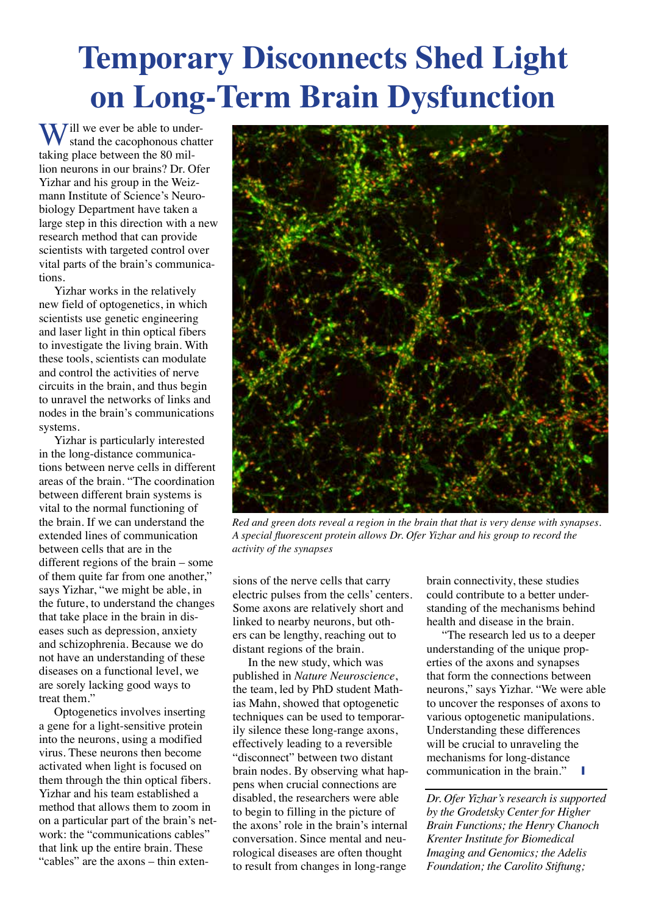## **Temporary Disconnects Shed Light on Long-Term Brain Dysfunction**

 $\sum$  ill we ever be able to understand the cacophonous chatter taking place between the 80 million neurons in our brains? Dr. Ofer Yizhar and his group in the Weizmann Institute of Science's Neurobiology Department have taken a large step in this direction with a new research method that can provide scientists with targeted control over vital parts of the brain's communications.

Yizhar works in the relatively new field of optogenetics, in which scientists use genetic engineering and laser light in thin optical fibers to investigate the living brain. With these tools, scientists can modulate and control the activities of nerve circuits in the brain, and thus begin to unravel the networks of links and nodes in the brain's communications systems.

Yizhar is particularly interested in the long-distance communications between nerve cells in different areas of the brain. "The coordination between different brain systems is vital to the normal functioning of the brain. If we can understand the extended lines of communication between cells that are in the different regions of the brain – some of them quite far from one another," says Yizhar, "we might be able, in the future, to understand the changes that take place in the brain in diseases such as depression, anxiety and schizophrenia. Because we do not have an understanding of these diseases on a functional level, we are sorely lacking good ways to treat them."

Optogenetics involves inserting a gene for a light-sensitive protein into the neurons, using a modified virus. These neurons then become activated when light is focused on them through the thin optical fibers. Yizhar and his team established a method that allows them to zoom in on a particular part of the brain's network: the "communications cables" that link up the entire brain. These "cables" are the axons – thin exten-



*Red and green dots reveal a region in the brain that that is very dense with synapses. A special fluorescent protein allows Dr. Ofer Yizhar and his group to record the activity of the synapses*

sions of the nerve cells that carry electric pulses from the cells' centers. Some axons are relatively short and linked to nearby neurons, but others can be lengthy, reaching out to distant regions of the brain.

In the new study, which was published in *Nature Neuroscience*, the team, led by PhD student Mathias Mahn, showed that optogenetic techniques can be used to temporarily silence these long-range axons, effectively leading to a reversible "disconnect" between two distant brain nodes. By observing what happens when crucial connections are disabled, the researchers were able to begin to filling in the picture of the axons' role in the brain's internal conversation. Since mental and neurological diseases are often thought to result from changes in long-range

brain connectivity, these studies could contribute to a better understanding of the mechanisms behind health and disease in the brain.

"The research led us to a deeper understanding of the unique properties of the axons and synapses that form the connections between neurons," says Yizhar. "We were able to uncover the responses of axons to various optogenetic manipulations. Understanding these differences will be crucial to unraveling the mechanisms for long-distance communication in the brain."

*Dr. Ofer Yizhar's research is supported by the Grodetsky Center for Higher Brain Functions; the Henry Chanoch Krenter Institute for Biomedical Imaging and Genomics; the Adelis Foundation; the Carolito Stiftung;*